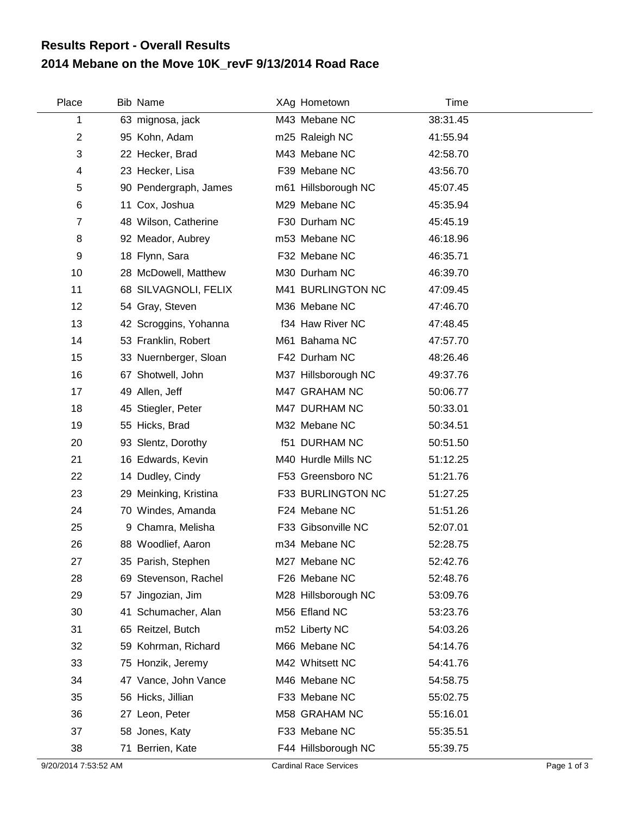## **2014 Mebane on the Move 10K\_revF 9/13/2014 Road Race Results Report - Overall Results**

| Place          | <b>Bib Name</b>       | XAg Hometown         | Time     |  |
|----------------|-----------------------|----------------------|----------|--|
| 1              | 63 mignosa, jack      | M43 Mebane NC        | 38:31.45 |  |
| 2              | 95 Kohn, Adam         | m25 Raleigh NC       | 41:55.94 |  |
| 3              | 22 Hecker, Brad       | M43 Mebane NC        | 42:58.70 |  |
| 4              | 23 Hecker, Lisa       | F39 Mebane NC        | 43:56.70 |  |
| 5              | 90 Pendergraph, James | m61 Hillsborough NC  | 45:07.45 |  |
| 6              | 11 Cox, Joshua        | M29 Mebane NC        | 45:35.94 |  |
| $\overline{7}$ | 48 Wilson, Catherine  | F30 Durham NC        | 45:45.19 |  |
| 8              | 92 Meador, Aubrey     | m53 Mebane NC        | 46:18.96 |  |
| 9              | 18 Flynn, Sara        | F32 Mebane NC        | 46:35.71 |  |
| 10             | 28 McDowell, Matthew  | M30 Durham NC        | 46:39.70 |  |
| 11             | 68 SILVAGNOLI, FELIX  | M41 BURLINGTON NC    | 47:09.45 |  |
| 12             | 54 Gray, Steven       | M36 Mebane NC        | 47:46.70 |  |
| 13             | 42 Scroggins, Yohanna | f34 Haw River NC     | 47:48.45 |  |
| 14             | 53 Franklin, Robert   | M61 Bahama NC        | 47:57.70 |  |
| 15             | 33 Nuernberger, Sloan | F42 Durham NC        | 48:26.46 |  |
| 16             | 67 Shotwell, John     | M37 Hillsborough NC  | 49:37.76 |  |
| 17             | 49 Allen, Jeff        | M47 GRAHAM NC        | 50:06.77 |  |
| 18             | 45 Stiegler, Peter    | M47 DURHAM NC        | 50:33.01 |  |
| 19             | 55 Hicks, Brad        | M32 Mebane NC        | 50:34.51 |  |
| 20             | 93 Slentz, Dorothy    | <b>f51 DURHAM NC</b> | 50:51.50 |  |
| 21             | 16 Edwards, Kevin     | M40 Hurdle Mills NC  | 51:12.25 |  |
| 22             | 14 Dudley, Cindy      | F53 Greensboro NC    | 51:21.76 |  |
| 23             | 29 Meinking, Kristina | F33 BURLINGTON NC    | 51:27.25 |  |
| 24             | 70 Windes, Amanda     | F24 Mebane NC        | 51:51.26 |  |
| 25             | 9 Chamra, Melisha     | F33 Gibsonville NC   | 52:07.01 |  |
| 26             | 88 Woodlief, Aaron    | m34 Mebane NC        | 52:28.75 |  |
| 27             | 35 Parish, Stephen    | M27 Mebane NC        | 52:42.76 |  |
| 28             | 69 Stevenson, Rachel  | F26 Mebane NC        | 52:48.76 |  |
| 29             | 57 Jingozian, Jim     | M28 Hillsborough NC  | 53:09.76 |  |
| 30             | 41 Schumacher, Alan   | M56 Efland NC        | 53:23.76 |  |
| 31             | 65 Reitzel, Butch     | m52 Liberty NC       | 54:03.26 |  |
| 32             | 59 Kohrman, Richard   | M66 Mebane NC        | 54:14.76 |  |
| 33             | 75 Honzik, Jeremy     | M42 Whitsett NC      | 54:41.76 |  |
| 34             | 47 Vance, John Vance  | M46 Mebane NC        | 54:58.75 |  |
| 35             | 56 Hicks, Jillian     | F33 Mebane NC        | 55:02.75 |  |
| 36             | 27 Leon, Peter        | M58 GRAHAM NC        | 55:16.01 |  |
| 37             | 58 Jones, Katy        | F33 Mebane NC        | 55:35.51 |  |
| 38             | 71 Berrien, Kate      | F44 Hillsborough NC  | 55:39.75 |  |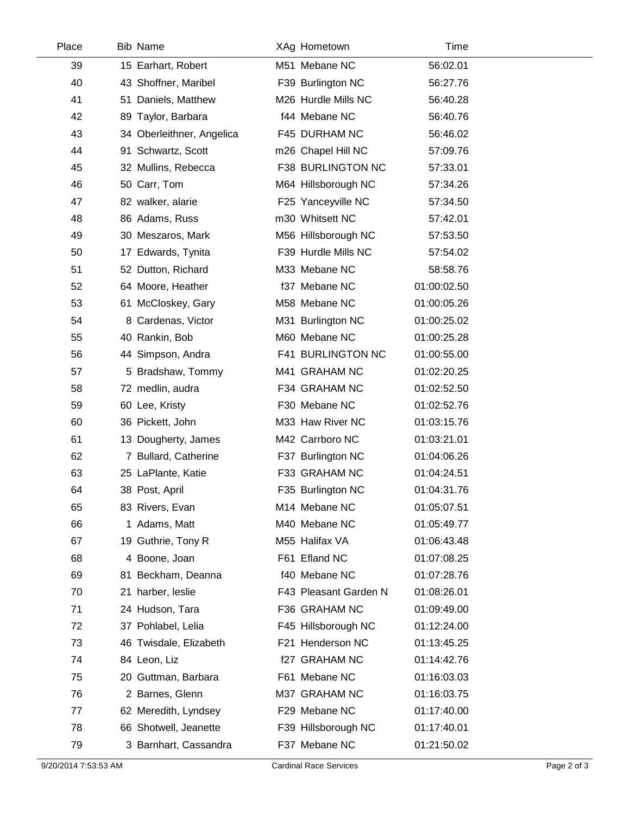| Place | <b>Bib Name</b>           | XAg Hometown          | Time        |  |
|-------|---------------------------|-----------------------|-------------|--|
| 39    | 15 Earhart, Robert        | M51 Mebane NC         | 56:02.01    |  |
| 40    | 43 Shoffner, Maribel      | F39 Burlington NC     | 56:27.76    |  |
| 41    | 51 Daniels, Matthew       | M26 Hurdle Mills NC   | 56:40.28    |  |
| 42    | 89 Taylor, Barbara        | f44 Mebane NC         | 56:40.76    |  |
| 43    | 34 Oberleithner, Angelica | F45 DURHAM NC         | 56:46.02    |  |
| 44    | 91 Schwartz, Scott        | m26 Chapel Hill NC    | 57:09.76    |  |
| 45    | 32 Mullins, Rebecca       | F38 BURLINGTON NC     | 57:33.01    |  |
| 46    | 50 Carr, Tom              | M64 Hillsborough NC   | 57:34.26    |  |
| 47    | 82 walker, alarie         | F25 Yanceyville NC    | 57:34.50    |  |
| 48    | 86 Adams, Russ            | m30 Whitsett NC       | 57:42.01    |  |
| 49    | 30 Meszaros, Mark         | M56 Hillsborough NC   | 57:53.50    |  |
| 50    | 17 Edwards, Tynita        | F39 Hurdle Mills NC   | 57:54.02    |  |
| 51    | 52 Dutton, Richard        | M33 Mebane NC         | 58:58.76    |  |
| 52    | 64 Moore, Heather         | f37 Mebane NC         | 01:00:02.50 |  |
| 53    | 61 McCloskey, Gary        | M58 Mebane NC         | 01:00:05.26 |  |
| 54    | 8 Cardenas, Victor        | M31 Burlington NC     | 01:00:25.02 |  |
| 55    | 40 Rankin, Bob            | M60 Mebane NC         | 01:00:25.28 |  |
| 56    | 44 Simpson, Andra         | F41 BURLINGTON NC     | 01:00:55.00 |  |
| 57    | 5 Bradshaw, Tommy         | M41 GRAHAM NC         | 01:02:20.25 |  |
| 58    | 72 medlin, audra          | F34 GRAHAM NC         | 01:02:52.50 |  |
| 59    | 60 Lee, Kristy            | F30 Mebane NC         | 01:02:52.76 |  |
| 60    | 36 Pickett, John          | M33 Haw River NC      | 01:03:15.76 |  |
| 61    | 13 Dougherty, James       | M42 Carrboro NC       | 01:03:21.01 |  |
| 62    | 7 Bullard, Catherine      | F37 Burlington NC     | 01:04:06.26 |  |
| 63    | 25 LaPlante, Katie        | F33 GRAHAM NC         | 01:04:24.51 |  |
| 64    | 38 Post, April            | F35 Burlington NC     | 01:04:31.76 |  |
| 65    | 83 Rivers, Evan           | M14 Mebane NC         | 01:05:07.51 |  |
| 66    | 1 Adams, Matt             | M40 Mebane NC         | 01:05:49.77 |  |
| 67    | 19 Guthrie, Tony R        | M55 Halifax VA        | 01:06:43.48 |  |
| 68    | 4 Boone, Joan             | F61 Efland NC         | 01:07:08.25 |  |
| 69    | 81 Beckham, Deanna        | f40 Mebane NC         | 01:07:28.76 |  |
| 70    | 21 harber, leslie         | F43 Pleasant Garden N | 01:08:26.01 |  |
| 71    | 24 Hudson, Tara           | F36 GRAHAM NC         | 01:09:49.00 |  |
| 72    | 37 Pohlabel, Lelia        | F45 Hillsborough NC   | 01:12:24.00 |  |
| 73    | 46 Twisdale, Elizabeth    | F21 Henderson NC      | 01:13:45.25 |  |
| 74    | 84 Leon, Liz              | f27 GRAHAM NC         | 01:14:42.76 |  |
| 75    | 20 Guttman, Barbara       | F61 Mebane NC         | 01:16:03.03 |  |
| 76    | 2 Barnes, Glenn           | M37 GRAHAM NC         | 01:16:03.75 |  |
| 77    | 62 Meredith, Lyndsey      | F29 Mebane NC         | 01:17:40.00 |  |
| 78    | 66 Shotwell, Jeanette     | F39 Hillsborough NC   | 01:17:40.01 |  |
| 79    | 3 Barnhart, Cassandra     | F37 Mebane NC         | 01:21:50.02 |  |